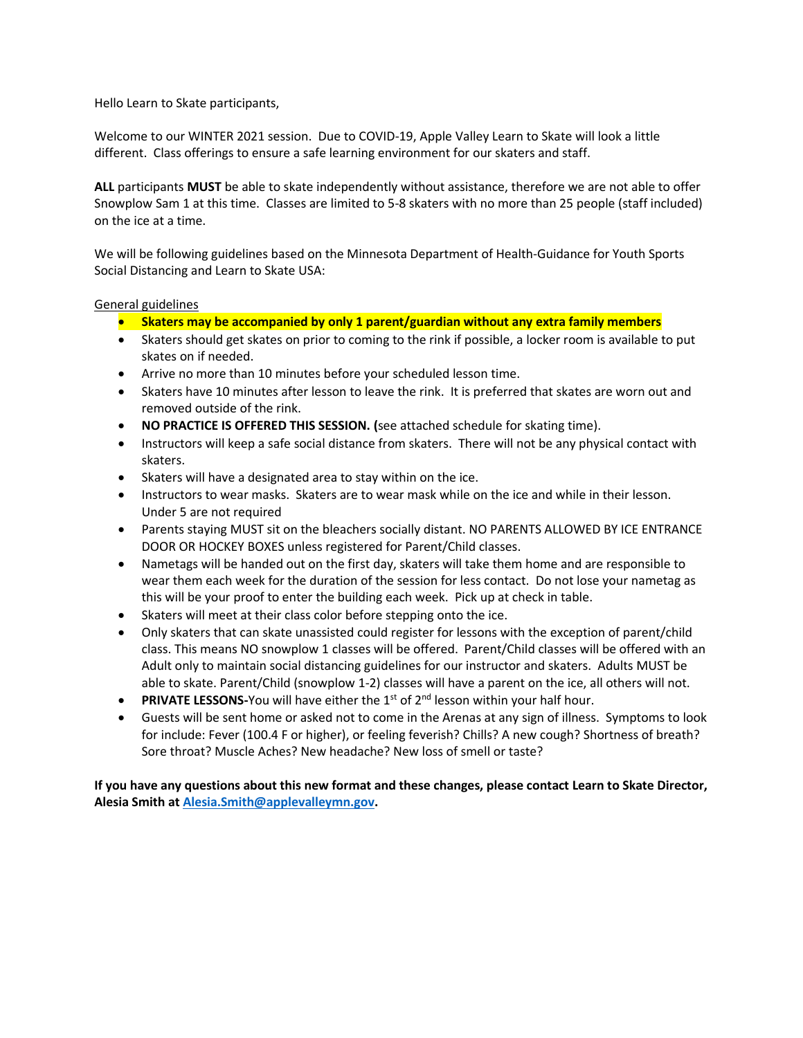Hello Learn to Skate participants,

Welcome to our WINTER 2021 session. Due to COVID-19, Apple Valley Learn to Skate will look a little different. Class offerings to ensure a safe learning environment for our skaters and staff.

**ALL** participants **MUST** be able to skate independently without assistance, therefore we are not able to offer Snowplow Sam 1 at this time. Classes are limited to 5-8 skaters with no more than 25 people (staff included) on the ice at a time.

We will be following guidelines based on the Minnesota Department of Health-Guidance for Youth Sports Social Distancing and Learn to Skate USA:

## General guidelines

- **Skaters may be accompanied by only 1 parent/guardian without any extra family members**
- Skaters should get skates on prior to coming to the rink if possible, a locker room is available to put skates on if needed.
- Arrive no more than 10 minutes before your scheduled lesson time.
- Skaters have 10 minutes after lesson to leave the rink. It is preferred that skates are worn out and removed outside of the rink.
- **NO PRACTICE IS OFFERED THIS SESSION. (**see attached schedule for skating time).
- Instructors will keep a safe social distance from skaters. There will not be any physical contact with skaters.
- Skaters will have a designated area to stay within on the ice.
- Instructors to wear masks. Skaters are to wear mask while on the ice and while in their lesson. Under 5 are not required
- Parents staying MUST sit on the bleachers socially distant. NO PARENTS ALLOWED BY ICE ENTRANCE DOOR OR HOCKEY BOXES unless registered for Parent/Child classes.
- Nametags will be handed out on the first day, skaters will take them home and are responsible to wear them each week for the duration of the session for less contact. Do not lose your nametag as this will be your proof to enter the building each week. Pick up at check in table.
- Skaters will meet at their class color before stepping onto the ice.
- Only skaters that can skate unassisted could register for lessons with the exception of parent/child class. This means NO snowplow 1 classes will be offered. Parent/Child classes will be offered with an Adult only to maintain social distancing guidelines for our instructor and skaters. Adults MUST be able to skate. Parent/Child (snowplow 1-2) classes will have a parent on the ice, all others will not.
- **PRIVATE LESSONS-You will have either the 1st of 2<sup>nd</sup> lesson within your half hour.**
- Guests will be sent home or asked not to come in the Arenas at any sign of illness. Symptoms to look for include: Fever (100.4 F or higher), or feeling feverish? Chills? A new cough? Shortness of breath? Sore throat? Muscle Aches? New headache? New loss of smell or taste?

**If you have any questions about this new format and these changes, please contact Learn to Skate Director, Alesia Smith a[t Alesia.Smith@applevalleymn.gov.](mailto:Alesia.Smith@applevalleymn.gov)**